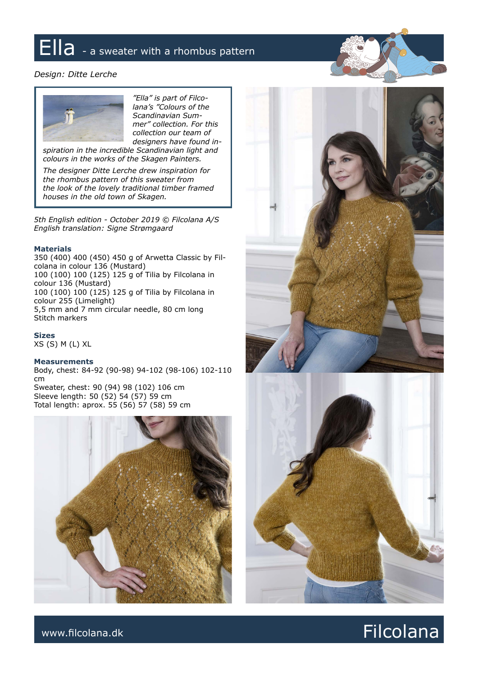## Ella - a sweater with a rhombus pattern

#### *Design: Ditte Lerche*



*"Ella" is part of Filcolana's "Colours of the Scandinavian Summer" collection. For this collection our team of designers have found in-*

*spiration in the incredible Scandinavian light and colours in the works of the Skagen Painters.*

*The designer Ditte Lerche drew inspiration for the rhombus pattern of this sweater from the look of the lovely traditional timber framed houses in the old town of Skagen.*

*5th English edition - October 2019 © Filcolana A/S English translation: Signe Strømgaard*

#### **Materials**

350 (400) 400 (450) 450 g of Arwetta Classic by Filcolana in colour 136 (Mustard) 100 (100) 100 (125) 125 g of Tilia by Filcolana in colour 136 (Mustard) 100 (100) 100 (125) 125 g of Tilia by Filcolana in colour 255 (Limelight) 5,5 mm and 7 mm circular needle, 80 cm long Stitch markers

**Sizes**

XS (S) M (L) XL

#### **Measurements**

Body, chest: 84-92 (90-98) 94-102 (98-106) 102-110 cm Sweater, chest: 90 (94) 98 (102) 106 cm Sleeve length: 50 (52) 54 (57) 59 cm

Total length: aprox. 55 (56) 57 (58) 59 cm







### www.filcolana.dk **Filcolana.dk** Reserves and the set of the set of the set of the set of the set of the set of the set of the set of the set of the set of the set of the set of the set of the set of the set of the set of t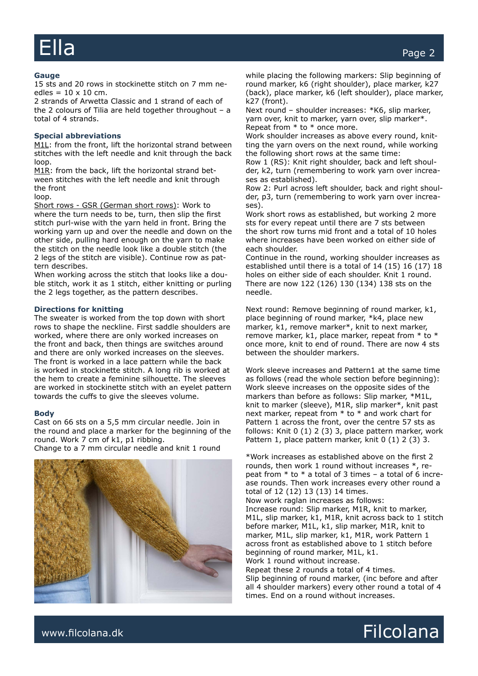#### **Gauge**

15 sts and 20 rows in stockinette stitch on 7 mm needles =  $10 \times 10$  cm.

2 strands of Arwetta Classic and 1 strand of each of the 2 colours of Tilia are held together throughout – a total of 4 strands.

#### **Special abbreviations**

M1L: from the front, lift the horizontal strand between stitches with the left needle and knit through the back loop.

M1R: from the back, lift the horizontal strand between stitches with the left needle and knit through the front

loop.

Short rows - GSR (German short rows): Work to where the turn needs to be, turn, then slip the first stitch purl-wise with the yarn held in front. Bring the working yarn up and over the needle and down on the other side, pulling hard enough on the yarn to make the stitch on the needle look like a double stitch (the 2 legs of the stitch are visible). Continue row as pattern describes.

When working across the stitch that looks like a double stitch, work it as 1 stitch, either knitting or purling the 2 legs together, as the pattern describes.

#### **Directions for knitting**

The sweater is worked from the top down with short rows to shape the neckline. First saddle shoulders are worked, where there are only worked increases on the front and back, then things are switches around and there are only worked increases on the sleeves. The front is worked in a lace pattern while the back is worked in stockinette stitch. A long rib is worked at the hem to create a feminine silhouette. The sleeves are worked in stockinette stitch with an eyelet pattern towards the cuffs to give the sleeves volume.

#### **Body**

Cast on 66 sts on a 5,5 mm circular needle. Join in the round and place a marker for the beginning of the round. Work 7 cm of k1, p1 ribbing. Change to a 7 mm circular needle and knit 1 round



while placing the following markers: Slip beginning of round marker, k6 (right shoulder), place marker, k27 (back), place marker, k6 (left shoulder), place marker, k27 (front).

Next round – shoulder increases: \*K6, slip marker, yarn over, knit to marker, yarn over, slip marker\*. Repeat from \* to \* once more.

Work shoulder increases as above every round, knitting the yarn overs on the next round, while working the following short rows at the same time:

Row 1 (RS): Knit right shoulder, back and left shoulder, k2, turn (remembering to work yarn over increases as established).

Row 2: Purl across left shoulder, back and right shoulder, p3, turn (remembering to work yarn over increases).

Work short rows as established, but working 2 more sts for every repeat until there are 7 sts between the short row turns mid front and a total of 10 holes where increases have been worked on either side of each shoulder.

Continue in the round, working shoulder increases as established until there is a total of 14 (15) 16 (17) 18 holes on either side of each shoulder. Knit 1 round. There are now 122 (126) 130 (134) 138 sts on the needle.

Next round: Remove beginning of round marker, k1, place beginning of round marker, \*k4, place new marker, k1, remove marker\*, knit to next marker, remove marker, k1, place marker, repeat from \* to \* once more, knit to end of round. There are now 4 sts between the shoulder markers.

Work sleeve increases and Pattern1 at the same time as follows (read the whole section before beginning): Work sleeve increases on the opposite sides of the markers than before as follows: Slip marker, \*M1L, knit to marker (sleeve), M1R, slip marker\*, knit past next marker, repeat from \* to \* and work chart for Pattern 1 across the front, over the centre 57 sts as follows: Knit 0 (1) 2 (3) 3, place pattern marker, work Pattern 1, place pattern marker, knit 0 (1) 2 (3) 3.

\*Work increases as established above on the first 2 rounds, then work 1 round without increases \*, repeat from  $*$  to  $*$  a total of 3 times – a total of 6 increase rounds. Then work increases every other round a total of 12 (12) 13 (13) 14 times. Now work raglan increases as follows: Increase round: Slip marker, M1R, knit to marker, M1L, slip marker, k1, M1R, knit across back to 1 stitch before marker, M1L, k1, slip marker, M1R, knit to marker, M1L, slip marker, k1, M1R, work Pattern 1 across front as established above to 1 stitch before beginning of round marker, M1L, k1. Work 1 round without increase.

Repeat these 2 rounds a total of 4 times. Slip beginning of round marker, (inc before and after all 4 shoulder markers) every other round a total of 4 times. End on a round without increases.